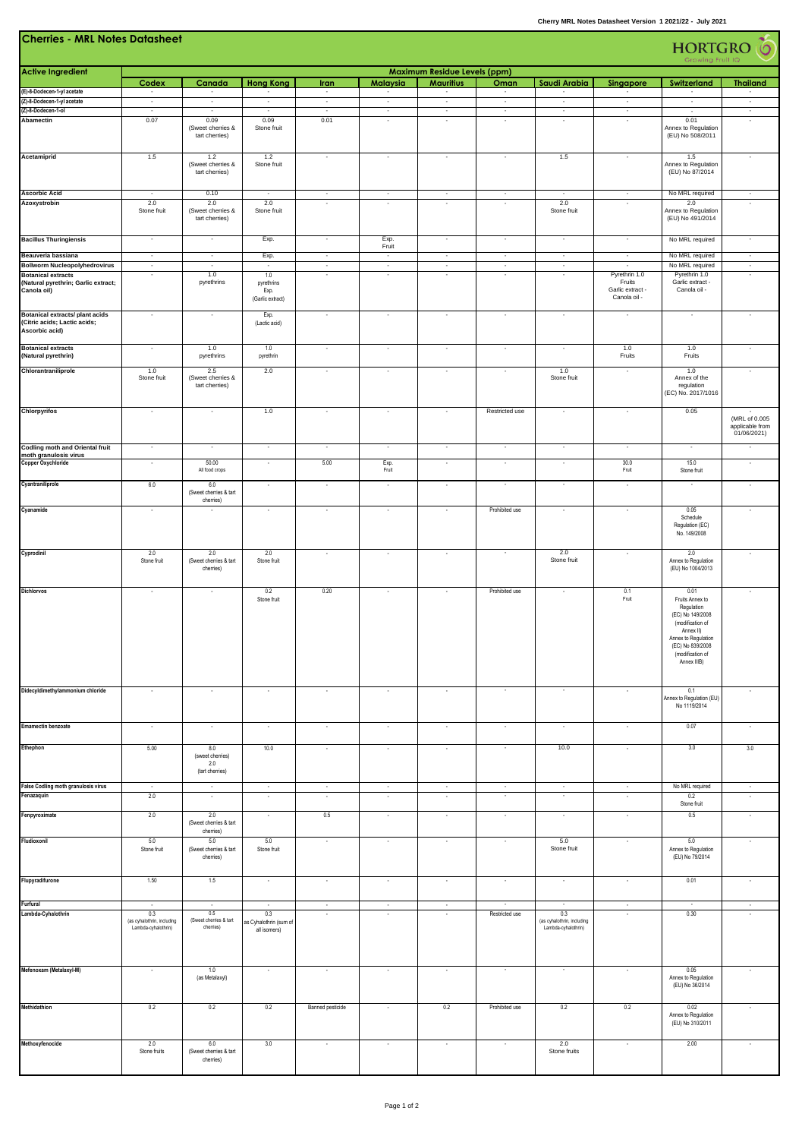| <b>Cherries - MRL Notes Datasheet</b><br>$\delta$<br><b>HORTGRO</b><br>Growing Fruit IQ  |                                                          |                                                   |                                               |                                    |                                                      |                                                         |                                     |                                                          |                                                             |                                                                                                                                                                          |                                                 |
|------------------------------------------------------------------------------------------|----------------------------------------------------------|---------------------------------------------------|-----------------------------------------------|------------------------------------|------------------------------------------------------|---------------------------------------------------------|-------------------------------------|----------------------------------------------------------|-------------------------------------------------------------|--------------------------------------------------------------------------------------------------------------------------------------------------------------------------|-------------------------------------------------|
| <b>Active Ingredient</b>                                                                 | Codex                                                    | Canada                                            | <b>Hong Kong</b>                              | Iran                               | Malaysia                                             | <b>Maximum Residue Levels (ppm)</b><br><b>Mauritius</b> | Oman                                | Saudi Arabia                                             | <b>Singapore</b>                                            | Switzerland                                                                                                                                                              | <b>Thailand</b>                                 |
| (E)-8-Dodecen-1-yl acetate                                                               | $\overline{\phantom{a}}$                                 | $\cdot$                                           | $\overline{\phantom{a}}$                      | $\sim$                             | $\sim$                                               |                                                         | $\sim$                              | $\sim$                                                   | $\sim$                                                      |                                                                                                                                                                          | $\sim$                                          |
| (Z)-8-Dodecen-1-yl acetate<br>(Z)-8-Dodecen-1-ol                                         | $\sim$<br>$\sim$                                         | $\sim$<br>$\sim$                                  | $\sim$<br>$\sim$                              | $\sim$<br>$\sim$                   | $\sim$<br>$\sim$                                     | $\sim$<br>$\sim$                                        | $\cdot$<br>$\sim$                   | $\sim$<br>$\sim$                                         | $\sim$<br>$\sim$                                            | $\sim$<br>$\sim$                                                                                                                                                         | $\sim$<br>$\sim$                                |
| Abamectin                                                                                | 0.07                                                     | 0.09<br>(Sweet cherries &<br>tart cherries)       | 0.09<br>Stone fruit                           | 0.01                               | ÷,                                                   | $\sim$                                                  | $\sim$                              | $\sim$                                                   | $\sim$                                                      | 0.01<br>Annex to Regulation<br>(EU) No 508/2011                                                                                                                          | $\bar{a}$                                       |
| Acetamiprid                                                                              | 1.5                                                      | 1.2<br>(Sweet cherries &<br>tart cherries)        | 1.2<br>Stone fruit                            | $\overline{\phantom{a}}$           | $\overline{\phantom{a}}$                             | $\overline{\phantom{a}}$                                | $\cdot$                             | 1.5                                                      | $\overline{\phantom{a}}$                                    | 1.5<br>Annex to Regulation<br>(EU) No 87/2014                                                                                                                            | $\blacksquare$                                  |
| <b>Ascorbic Acid</b><br>Azoxystrobin                                                     | ×<br>2.0                                                 | 0.10<br>2.0                                       | $\overline{\phantom{a}}$<br>2.0               | $\overline{\phantom{a}}$<br>$\sim$ | $\overline{\phantom{a}}$<br>$\sim$                   | $\cdot$<br>$\sim$                                       | $\cdot$<br>$\overline{\phantom{a}}$ | $\sim$<br>2.0                                            | $\overline{\phantom{a}}$<br>$\sim$                          | No MRL required<br>2.0                                                                                                                                                   | $\overline{\phantom{a}}$<br>$\sim$              |
|                                                                                          | Stone fruit                                              | (Sweet cherries &<br>tart cherries)               | Stone fruit                                   |                                    |                                                      |                                                         |                                     | Stone fruit                                              |                                                             | Annex to Regulation<br>(EU) No 491/2014                                                                                                                                  |                                                 |
| <b>Bacillus Thuringiensis</b>                                                            | $\sim$                                                   | $\overline{\phantom{a}}$                          | Exp.                                          | $\overline{\phantom{a}}$           | Exp.<br>Fruit                                        | $\sim$                                                  | $\sim$                              | $\sim$                                                   | $\sim$                                                      | No MRL required                                                                                                                                                          | $\sim$                                          |
| Beauveria bassiana<br><b>Bollworm Nucleopolyhedrovirus</b>                               | $\sim$<br>$\sim$                                         | $\overline{\phantom{a}}$<br>$\sim$                | Exp.<br>F                                     | $\sim$<br>$\sim$                   | $\overline{\phantom{a}}$<br>$\overline{\phantom{a}}$ | $\sim$<br>$\sim$                                        | $\sim$<br>$\sim$                    | $\sim$<br>$\sim$                                         | $\overline{\phantom{a}}$<br>$\sim$                          | No MRL required<br>No MRL required                                                                                                                                       | $\overline{\phantom{a}}$<br>$\sim$              |
| <b>Botanical extracts</b><br>(Natural pyrethrin; Garlic extract;<br>Canola oil)          | ÷,                                                       | 1.0<br>pyrethrins                                 | 1.0<br>pyrethrins<br>Exp.<br>(Garlic extract) |                                    | $\overline{\phantom{a}}$                             |                                                         |                                     |                                                          | Pyrethrin 1.0<br>Fruits<br>Garlic extract -<br>Canola oil - | Pyrethrin 1.0<br>Garlic extract -<br>Canola oil -                                                                                                                        | $\bar{a}$                                       |
| <b>Botanical extracts/ plant acids</b><br>(Citric acids; Lactic acids;<br>Ascorbic acid) | $\overline{\phantom{a}}$                                 | $\overline{\phantom{a}}$                          | Exp.<br>(Lactic acid)                         | $\overline{\phantom{a}}$           | $\overline{\phantom{a}}$                             | $\cdot$                                                 | $\cdot$                             | $\sim$                                                   | $\cdot$                                                     | $\overline{\phantom{a}}$                                                                                                                                                 | $\overline{\phantom{a}}$                        |
| <b>Botanical extracts</b><br>(Natural pyrethrin)                                         | $\overline{\phantom{a}}$                                 | 1.0<br>pyrethrins                                 | 1.0<br>pyrethrin                              | $\overline{\phantom{a}}$           | $\overline{\phantom{a}}$                             | $\cdot$                                                 | $\cdot$                             | $\sim$                                                   | 1.0<br>Fruits                                               | 1.0<br>Fruits                                                                                                                                                            |                                                 |
| Chlorantraniliprole                                                                      | 1.0<br>Stone fruit                                       | 2.5<br>(Sweet cherries &<br>tart cherries)        | 2.0                                           | $\epsilon$                         | $\overline{\phantom{a}}$                             | $\overline{\phantom{a}}$                                | $\overline{\phantom{a}}$            | 1.0<br>Stone fruit                                       | $\overline{\phantom{a}}$                                    | 1.0<br>Annex of the<br>regulation<br>(EC) No. 2017/1016                                                                                                                  | $\overline{\phantom{a}}$                        |
| Chlorpyrifos                                                                             | $\sim$                                                   | $\sim$                                            | 1.0                                           | $\overline{\phantom{a}}$           | $\overline{\phantom{a}}$                             | $\sim$                                                  | Restricted use                      | $\overline{\phantom{a}}$                                 | $\overline{\phantom{a}}$                                    | 0.05                                                                                                                                                                     | (MRL of 0.005<br>applicable from<br>01/06/2021) |
| <b>Codling moth and Oriental fruit</b><br>moth granulosis virus                          | $\overline{\phantom{a}}$                                 | $\cdot$                                           | $\overline{\phantom{a}}$                      | $\overline{\phantom{a}}$           | $\overline{\phantom{a}}$                             | $\cdot$                                                 | $\overline{\phantom{a}}$            | $\overline{\phantom{a}}$                                 | $\overline{\phantom{a}}$                                    | $\overline{\phantom{a}}$                                                                                                                                                 | $\overline{\phantom{a}}$                        |
| <b>Copper Oxychloride</b>                                                                | $\cdot$                                                  | 50.00<br>All food crops                           | $\cdot$                                       | 5.00                               | Exp.<br>Fruit                                        | $\cdot$                                                 | $\sim$                              | $\sim$                                                   | 30.0<br>Fruit                                               | 15.0<br>Stone fruit                                                                                                                                                      | ×                                               |
| Cyantraniliprole                                                                         | 6.0                                                      | 6.0<br>(Sweet cherries & tart<br>cherries)        | $\sim$                                        | $\overline{\phantom{a}}$           | $\cdot$                                              | $\sim$                                                  | $\sim$                              | $\sim$                                                   | $\sim$                                                      | $\sim$                                                                                                                                                                   | $\cdot$                                         |
| Cyanamide                                                                                | $\cdot$                                                  |                                                   | $\cdot$                                       | $\cdot$                            | $\cdot$                                              | $\cdot$                                                 | Prohibited use                      | $\epsilon$                                               | $\cdot$                                                     | 0.05<br>Schedule<br>Regulation (EC)<br>No. 149/2008                                                                                                                      | $\cdot$                                         |
| Cyprodinil                                                                               | 2.0<br>Stone fruit                                       | 2.0<br>(Sweet cherries & tart<br>cherries)        | 2.0<br>Stone fruit                            | $\cdot$                            | $\cdot$                                              | $\overline{\phantom{a}}$                                | $\overline{\phantom{a}}$            | 2.0<br>Stone fruit                                       | $\overline{\phantom{a}}$                                    | 2.0<br>Annex to Regulation<br>(EU) No 1004/2013                                                                                                                          | ٠                                               |
| <b>Dichlorvos</b>                                                                        | $\overline{\phantom{a}}$                                 | $\sim$                                            | 0.2<br>Stone fruit                            | 0.20                               | $\cdot$                                              | $\overline{\phantom{a}}$                                | Prohibited use                      | ٠                                                        | 0.1<br>Fruit                                                | 0.01<br>Fruits Annex to<br>Regulation<br>(EC) No 149/2008<br>(modification of<br>Annex II)<br>Annex to Regulation<br>(EC) No 839/2008<br>(modification of<br>Annex IIIB) | $\overline{\phantom{a}}$                        |
| Didecyldimethylammonium chloride                                                         |                                                          |                                                   | $\overline{\phantom{a}}$                      |                                    |                                                      |                                                         |                                     |                                                          |                                                             | 0.1<br>Annex to Regulation (EU)<br>No 1119/2014                                                                                                                          |                                                 |
| <b>Emamectin benzoate</b>                                                                | $\cdot$                                                  | $\cdot$                                           | $\cdot$                                       | $\overline{\phantom{a}}$           | ٠                                                    | $\epsilon$                                              | $\overline{\phantom{a}}$            | $\overline{\phantom{a}}$                                 | $\epsilon$                                                  | 0.07                                                                                                                                                                     | ×                                               |
| Ethephon                                                                                 | 5.00                                                     | 8.0<br>(sweet cherries)<br>2.0<br>(tart cherries) | 10.0                                          | $\cdot$                            | $\cdot$                                              | $\sim$                                                  |                                     | 10.0                                                     | $\sim$                                                      | 3.0                                                                                                                                                                      | 3.0                                             |
| False Codling moth granulosis virus<br>Fenazaquin                                        | $\cdot$<br>2.0                                           | $\sim$<br>$\cdot$                                 | $\cdot$<br>×                                  | $\cdot$<br>×                       | $\cdot$<br>٠                                         | $\sim$<br>×                                             | $\sim$<br>$\sim$                    | $\sim$<br>$\sim$                                         | $\sim$<br>$\cdot$                                           | No MRL required<br>0.2                                                                                                                                                   | $\cdot$<br>×                                    |
| Fenpyroximate                                                                            | 2.0                                                      | 2.0<br>(Sweet cherries & tart<br>cherries)        | $\overline{\phantom{a}}$                      | 0.5                                | $\epsilon$                                           | $\sim$                                                  | $\cdot$                             | $\sim$                                                   | $\epsilon$                                                  | Stone fruit<br>0.5                                                                                                                                                       | $\cdot$                                         |
| Fludioxonil                                                                              | 5.0<br>Stone fruit                                       | 5.0<br>(Sweet cherries & tart<br>cherries)        | 5.0<br>Stone fruit                            | ٠                                  | $\cdot$                                              | ٠                                                       | $\overline{\phantom{a}}$            | 5.0<br>Stone fruit                                       | ٠                                                           | 5.0<br>Annex to Regulation<br>(EU) No 79/2014                                                                                                                            | ٠                                               |
| Flupyradifurone                                                                          | 1.50                                                     | 1.5                                               | $\overline{\phantom{a}}$                      | $\cdot$                            | $\cdot$                                              | $\sim$                                                  | $\sim$                              | $\sim$                                                   | $\cdot$                                                     | 0.01                                                                                                                                                                     | $\overline{\phantom{a}}$                        |
| Furfural                                                                                 | $\sim$                                                   | $\sim$                                            | $\sim$                                        | $\cdot$                            | $\sim$                                               | $\sim$                                                  | $\sim$                              | $\sim$                                                   | $\sim$                                                      | $\sim$                                                                                                                                                                   | $\sim$                                          |
| Lambda-Cyhalothrin                                                                       | 0.3<br>(as cyhalothrin, including<br>Lambda-cyhalothrin) | 0.5<br>(Sweet chemies & tart<br>cherries)         | 0.3<br>as Cyhalothrin (sum of<br>all isomers) |                                    |                                                      |                                                         | Restricted use                      | 0.3<br>(as cyhalothrin, including<br>Lambda-cyhalothrin) |                                                             | 0.30                                                                                                                                                                     |                                                 |
| Mefenoxam (Metalaxyl-M)                                                                  | $\overline{\phantom{a}}$                                 | 1.0<br>(as Metalaxyl)                             | $\cdot$                                       | $\overline{\phantom{a}}$           | ٠                                                    | $\overline{\phantom{a}}$                                | $\sim$                              | $\sim$                                                   | $\overline{\phantom{a}}$                                    | 0.05<br>Annex to Regulation<br>(EU) No 36/2014                                                                                                                           | $\overline{\phantom{a}}$                        |
| Methidathion                                                                             | 0.2                                                      | 0.2                                               | 0.2                                           | Banned pesticide                   |                                                      | 0.2                                                     | Prohibited use                      | 0.2                                                      | 0.2                                                         | 0.02<br>Annex to Regulation<br>(EU) No 310/2011                                                                                                                          | ٠                                               |
| Methoxyfenocide                                                                          | 2.0<br>Stone fruits                                      | 6.0<br>(Sweet cherries & tart<br>cherries)        | $3.0\,$                                       | ٠                                  | $\cdot$                                              | ٠                                                       |                                     | 2.0<br>Stone fruits                                      | $\cdot$                                                     | 2.00                                                                                                                                                                     | ٠                                               |